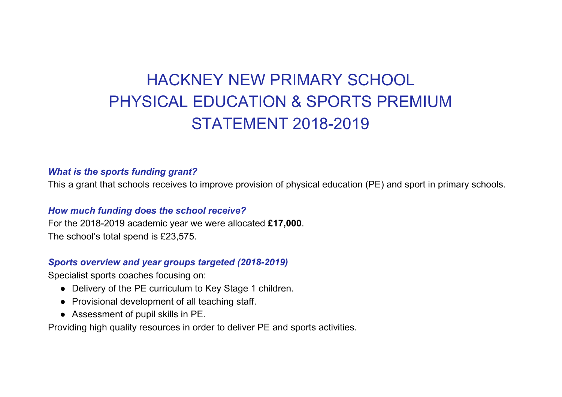## HACKNEY NEW PRIMARY SCHOOL PHYSICAL EDUCATION & SPORTS PREMIUM STATEMENT 2018-2019

## *What is the sports funding grant?*

This a grant that schools receives to improve provision of physical education (PE) and sport in primary schools.

## *How much funding does the school receive?*

For the 2018-2019 academic year we were allocated **£17,000**. The school's total spend is £23,575.

## *Sports overview and year groups targeted (2018-2019)*

Specialist sports coaches focusing on:

- Delivery of the PE curriculum to Key Stage 1 children.
- Provisional development of all teaching staff.
- Assessment of pupil skills in PE.

Providing high quality resources in order to deliver PE and sports activities.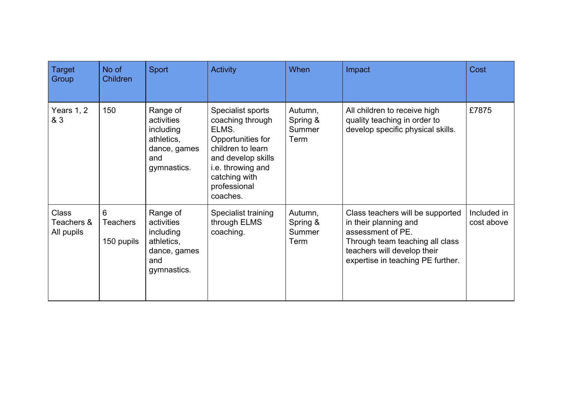| <b>Target</b><br>Group                   | No of<br>Children                  | <b>Sport</b>                                                                            | <b>Activity</b>                                                                                                                                                                  | <b>When</b>                           | Impact                                                                                                                                                                                | Cost                      |
|------------------------------------------|------------------------------------|-----------------------------------------------------------------------------------------|----------------------------------------------------------------------------------------------------------------------------------------------------------------------------------|---------------------------------------|---------------------------------------------------------------------------------------------------------------------------------------------------------------------------------------|---------------------------|
| Years 1, 2<br>& 3                        | 150                                | Range of<br>activities<br>including<br>athletics,<br>dance, games<br>and<br>gymnastics. | Specialist sports<br>coaching through<br>ELMS.<br>Opportunities for<br>children to learn<br>and develop skills<br>i.e. throwing and<br>catching with<br>professional<br>coaches. | Autumn,<br>Spring &<br>Summer<br>Term | All children to receive high<br>quality teaching in order to<br>develop specific physical skills.                                                                                     | £7875                     |
| <b>Class</b><br>Teachers &<br>All pupils | 6<br><b>Teachers</b><br>150 pupils | Range of<br>activities<br>including<br>athletics,<br>dance, games<br>and<br>gymnastics. | Specialist training<br>through ELMS<br>coaching.                                                                                                                                 | Autumn,<br>Spring &<br>Summer<br>Term | Class teachers will be supported<br>in their planning and<br>assessment of PE.<br>Through team teaching all class<br>teachers will develop their<br>expertise in teaching PE further. | Included in<br>cost above |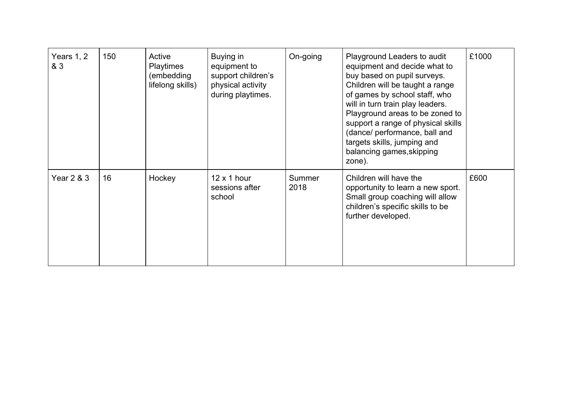| Years 1, 2<br>& 3 | 150 | Active<br>Playtimes<br>(embedding<br>lifelong skills) | Buying in<br>equipment to<br>support children's<br>physical activity<br>during playtimes. | On-going       | Playground Leaders to audit<br>equipment and decide what to<br>buy based on pupil surveys.<br>Children will be taught a range<br>of games by school staff, who<br>will in turn train play leaders.<br>Playground areas to be zoned to<br>support a range of physical skills<br>(dance/ performance, ball and<br>targets skills, jumping and<br>balancing games, skipping<br>zone). | £1000 |
|-------------------|-----|-------------------------------------------------------|-------------------------------------------------------------------------------------------|----------------|------------------------------------------------------------------------------------------------------------------------------------------------------------------------------------------------------------------------------------------------------------------------------------------------------------------------------------------------------------------------------------|-------|
| Year 2 & 3        | 16  | Hockey                                                | $12 \times 1$ hour<br>sessions after<br>school                                            | Summer<br>2018 | Children will have the<br>opportunity to learn a new sport.<br>Small group coaching will allow<br>children's specific skills to be<br>further developed.                                                                                                                                                                                                                           | £600  |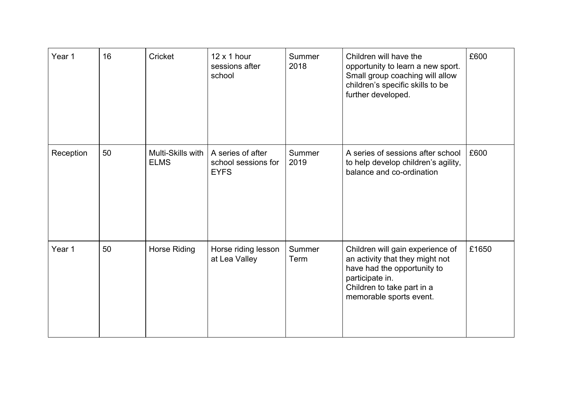| Year 1    | 16 | Cricket                          | $12 \times 1$ hour<br>sessions after<br>school          | Summer<br>2018 | Children will have the<br>opportunity to learn a new sport.<br>Small group coaching will allow<br>children's specific skills to be<br>further developed.                       | £600  |
|-----------|----|----------------------------------|---------------------------------------------------------|----------------|--------------------------------------------------------------------------------------------------------------------------------------------------------------------------------|-------|
| Reception | 50 | Multi-Skills with<br><b>ELMS</b> | A series of after<br>school sessions for<br><b>EYFS</b> | Summer<br>2019 | A series of sessions after school<br>to help develop children's agility,<br>balance and co-ordination                                                                          | £600  |
| Year 1    | 50 | Horse Riding                     | Horse riding lesson<br>at Lea Valley                    | Summer<br>Term | Children will gain experience of<br>an activity that they might not<br>have had the opportunity to<br>participate in.<br>Children to take part in a<br>memorable sports event. | £1650 |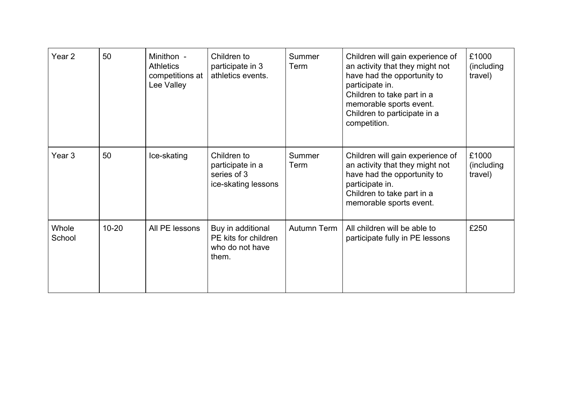| Year 2          | 50        | Minithon -<br><b>Athletics</b><br>competitions at<br>Lee Valley | Children to<br>participate in 3<br>athletics events.                  | Summer<br>Term | Children will gain experience of<br>an activity that they might not<br>have had the opportunity to<br>participate in.<br>Children to take part in a<br>memorable sports event.<br>Children to participate in a<br>competition. | £1000<br>(including<br>travel)  |
|-----------------|-----------|-----------------------------------------------------------------|-----------------------------------------------------------------------|----------------|--------------------------------------------------------------------------------------------------------------------------------------------------------------------------------------------------------------------------------|---------------------------------|
| Year 3          | 50        | Ice-skating                                                     | Children to<br>participate in a<br>series of 3<br>ice-skating lessons | Summer<br>Term | Children will gain experience of<br>an activity that they might not<br>have had the opportunity to<br>participate in.<br>Children to take part in a<br>memorable sports event.                                                 | £1000<br>(including)<br>travel) |
| Whole<br>School | $10 - 20$ | All PE lessons                                                  | Buy in additional<br>PE kits for children<br>who do not have<br>them. | Autumn Term    | All children will be able to<br>participate fully in PE lessons                                                                                                                                                                | £250                            |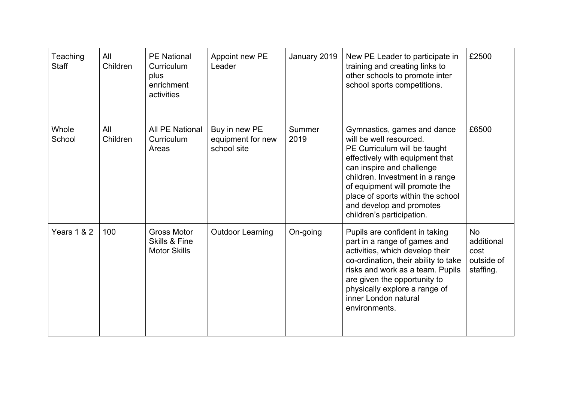| Teaching<br><b>Staff</b> | All<br>Children | <b>PE National</b><br>Curriculum<br>plus<br>enrichment<br>activities  | Appoint new PE<br>Leader                          | January 2019   | New PE Leader to participate in<br>training and creating links to<br>other schools to promote inter<br>school sports competitions.                                                                                                                                                                                       | £2500                                                      |
|--------------------------|-----------------|-----------------------------------------------------------------------|---------------------------------------------------|----------------|--------------------------------------------------------------------------------------------------------------------------------------------------------------------------------------------------------------------------------------------------------------------------------------------------------------------------|------------------------------------------------------------|
| Whole<br>School          | All<br>Children | <b>All PE National</b><br>Curriculum<br>Areas                         | Buy in new PE<br>equipment for new<br>school site | Summer<br>2019 | Gymnastics, games and dance<br>will be well resourced.<br>PE Curriculum will be taught<br>effectively with equipment that<br>can inspire and challenge<br>children. Investment in a range<br>of equipment will promote the<br>place of sports within the school<br>and develop and promotes<br>children's participation. | £6500                                                      |
| Years 1 & 2              | 100             | <b>Gross Motor</b><br><b>Skills &amp; Fine</b><br><b>Motor Skills</b> | <b>Outdoor Learning</b>                           | On-going       | Pupils are confident in taking<br>part in a range of games and<br>activities, which develop their<br>co-ordination, their ability to take<br>risks and work as a team. Pupils<br>are given the opportunity to<br>physically explore a range of<br>inner London natural<br>environments.                                  | <b>No</b><br>additional<br>cost<br>outside of<br>staffing. |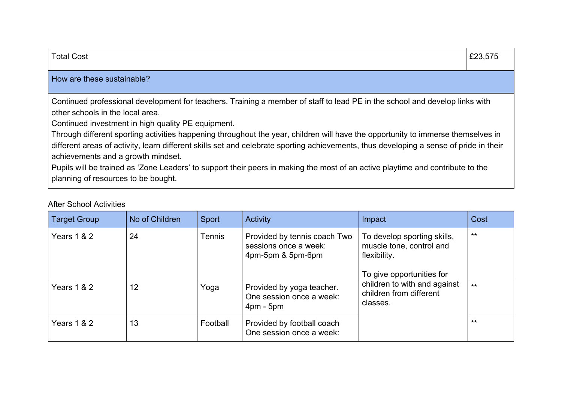| <b>Total Cost</b>                                                                                                                                                                                                                                                                                                                                                                                                                                                                                                                                                                                                                                                                                                  | £23,575 |
|--------------------------------------------------------------------------------------------------------------------------------------------------------------------------------------------------------------------------------------------------------------------------------------------------------------------------------------------------------------------------------------------------------------------------------------------------------------------------------------------------------------------------------------------------------------------------------------------------------------------------------------------------------------------------------------------------------------------|---------|
| How are these sustainable?                                                                                                                                                                                                                                                                                                                                                                                                                                                                                                                                                                                                                                                                                         |         |
| Continued professional development for teachers. Training a member of staff to lead PE in the school and develop links with<br>other schools in the local area.<br>Continued investment in high quality PE equipment.<br>Through different sporting activities happening throughout the year, children will have the opportunity to immerse themselves in<br>different areas of activity, learn different skills set and celebrate sporting achievements, thus developing a sense of pride in their<br>achievements and a growth mindset.<br>Pupils will be trained as 'Zone Leaders' to support their peers in making the most of an active playtime and contribute to the<br>planning of resources to be bought. |         |

| <b>Target Group</b>    | No of Children | Sport    | <b>Activity</b>                                                            | Impact                                                                                               | Cost         |
|------------------------|----------------|----------|----------------------------------------------------------------------------|------------------------------------------------------------------------------------------------------|--------------|
| Years 1 & 2            | 24             | Tennis   | Provided by tennis coach Two<br>sessions once a week:<br>4pm-5pm & 5pm-6pm | To develop sporting skills,<br>muscle tone, control and<br>flexibility.<br>To give opportunities for | $***$        |
| Years $1 & 2$          | 12             | Yoga     | Provided by yoga teacher.<br>One session once a week:<br>$4pm - 5pm$       | children to with and against<br>children from different<br>classes.                                  | $\star\star$ |
| <b>Years 1 &amp; 2</b> | 13             | Football | Provided by football coach<br>One session once a week:                     |                                                                                                      | $**$         |

After School Activities